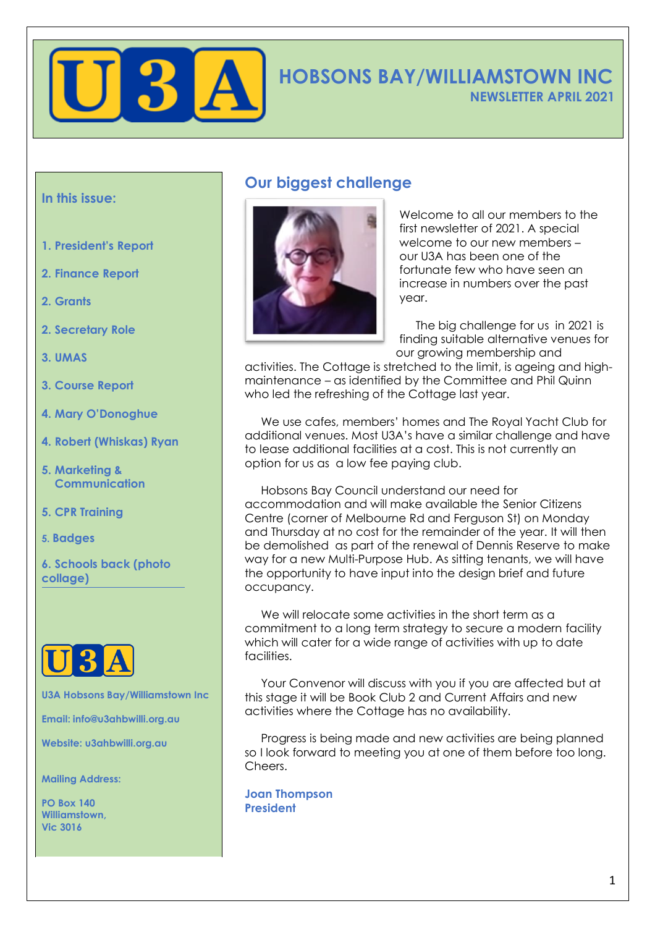

# **HOBSONS BAY/WILLIAMSTOWN INC NEWSLETTER APRIL 2021**

#### **In this issue:**

- **1. President's Report**
- **2. Finance Report**
- **2. Grants**
- **2. Secretary Role**
- **3. UMAS**
- **3. Course Report**
- **4. Mary O'Donoghue**
- **4. Robert (Whiskas) Ryan**
- **5. Marketing & Communication**
- **5. CPR Training**
- **5. Badges**
- **6. Schools back (photo collage)**



**U3A Hobsons Bay/Williamstown Inc**

**Email: info@u3ahbwilli.org.au**

**Website: u3ahbwilli.org.au**

**Mailing Address:**

**PO Box 140 Williamstown, Vic 3016**

## **Our biggest challenge**



Welcome to all our members to the first newsletter of 2021. A special welcome to our new members – our U3A has been one of the fortunate few who have seen an increase in numbers over the past year.

 The big challenge for us in 2021 is finding suitable alternative venues for our growing membership and

activities. The Cottage is stretched to the limit, is ageing and highmaintenance – as identified by the Committee and Phil Quinn who led the refreshing of the Cottage last year.

 We use cafes, members' homes and The Royal Yacht Club for additional venues. Most U3A's have a similar challenge and have to lease additional facilities at a cost. This is not currently an option for us as a low fee paying club.

 Hobsons Bay Council understand our need for accommodation and will make available the Senior Citizens Centre (corner of Melbourne Rd and Ferguson St) on Monday and Thursday at no cost for the remainder of the year. It will then be demolished as part of the renewal of Dennis Reserve to make way for a new Multi-Purpose Hub. As sitting tenants, we will have the opportunity to have input into the design brief and future occupancy.

We will relocate some activities in the short term as a commitment to a long term strategy to secure a modern facility which will cater for a wide range of activities with up to date facilities.

 Your Convenor will discuss with you if you are affected but at this stage it will be Book Club 2 and Current Affairs and new activities where the Cottage has no availability.

 Progress is being made and new activities are being planned so I look forward to meeting you at one of them before too long. Cheers.

**Joan Thompson President**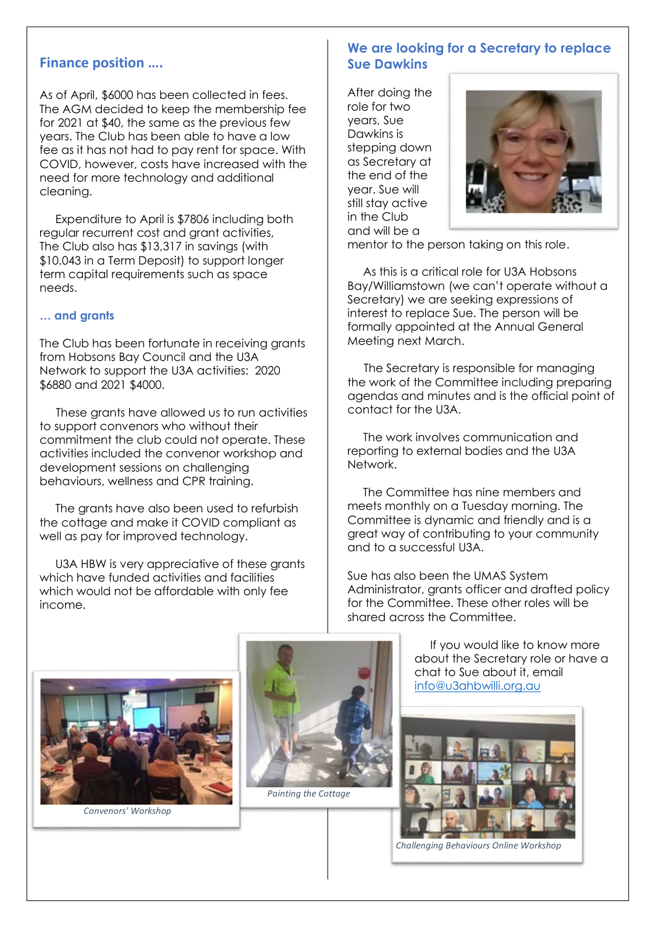#### **Finance position ….**

As of April, \$6000 has been collected in fees. The AGM decided to keep the membership fee for 2021 at \$40, the same as the previous few years. The Club has been able to have a low fee as it has not had to pay rent for space. With COVID, however, costs have increased with the need for more technology and additional cleaning.

Expenditure to April is \$7806 including both regular recurrent cost and grant activities, The Club also has \$13,317 in savings (with \$10.043 in a Term Deposit) to support longer term capital requirements such as space needs.

#### **… and grants**

The Club has been fortunate in receiving grants from Hobsons Bay Council and the U3A Network to support the U3A activities: 2020 \$6880 and 2021 \$4000.

 These grants have allowed us to run activities to support convenors who without their commitment the club could not operate. These activities included the convenor workshop and development sessions on challenging behaviours, wellness and CPR training.

The grants have also been used to refurbish the cottage and make it COVID compliant as well as pay for improved technology.

U3A HBW is very appreciative of these grants which have funded activities and facilities which would not be affordable with only fee income.

#### **We are looking for a Secretary to replace Sue Dawkins**

After doing the role for two years, Sue Dawkins is stepping down as Secretary at the end of the year. Sue will still stay active in the Club and will be a



mentor to the person taking on this role.

As this is a critical role for U3A Hobsons Bay/Williamstown (we can't operate without a Secretary) we are seeking expressions of interest to replace Sue. The person will be formally appointed at the Annual General Meeting next March.

 The Secretary is responsible for managing the work of the Committee including preparing agendas and minutes and is the official point of contact for the U3A.

The work involves communication and reporting to external bodies and the U3A Network.

The Committee has nine members and meets monthly on a Tuesday morning. The Committee is dynamic and friendly and is a great way of contributing to your community and to a successful U3A.

Sue has also been the UMAS System Administrator, grants officer and drafted policy for the Committee. These other roles will be shared across the Committee.



 *Convenors' Workshop*



 *Painting the Cottage*

If you would like to know more about the Secretary role or have a chat to Sue about it, email [info@u3ahbwilli.org.au](mailto:info@u3ahbwilli.org.au)



*Challenging Behaviours Online Workshop*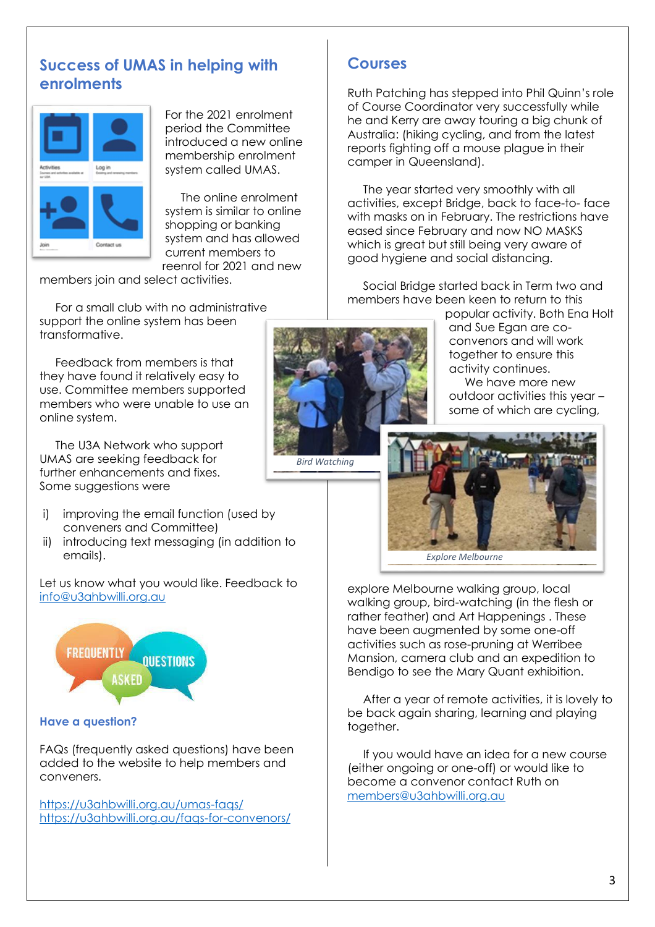## **Success of UMAS in helping with enrolments**



For the 2021 enrolment period the Committee introduced a new online membership enrolment system called UMAS.

The online enrolment system is similar to online shopping or banking system and has allowed current members to reenrol for 2021 and new

members join and select activities.

For a small club with no administrative support the online system has been transformative.

Feedback from members is that they have found it relatively easy to use. Committee members supported members who were unable to use an online system.

The U3A Network who support UMAS are seeking feedback for further enhancements and fixes. Some suggestions were

- i) improving the email function (used by conveners and Committee)
- ii) introducing text messaging (in addition to emails).

Let us know what you would like. Feedback t[o](mailto:info@u3ahbwilli.org.au) [info@u3ahbwilli.org.au](mailto:info@u3ahbwilli.org.au)



#### **Have a question?**

FAQs (frequently asked questions) have been added to the website to help members and conveners.

<https://u3ahbwilli.org.au/umas-faqs/> <https://u3ahbwilli.org.au/faqs-for-convenors/>

### **Courses**

 *Bird Watching* 

Ruth Patching has stepped into Phil Quinn's role of Course Coordinator very successfully while he and Kerry are away touring a big chunk of Australia: (hiking cycling, and from the latest reports fighting off a mouse plague in their camper in Queensland).

The year started very smoothly with all activities, except Bridge, back to face-to- face with masks on in February. The restrictions have eased since February and now NO MASKS which is great but still being very aware of good hygiene and social distancing.

Social Bridge started back in Term two and members have been keen to return to this

popular activity. Both Ena Holt and Sue Egan are coconvenors and will work together to ensure this activity continues.

We have more new outdoor activities this year – some of which are cycling,



 *Explore Melbourne*

explore Melbourne walking group, local walking group, bird-watching (in the flesh or rather feather) and Art Happenings . These have been augmented by some one-off activities such as rose-pruning at Werribee Mansion, camera club and an expedition to Bendigo to see the Mary Quant exhibition.

After a year of remote activities, it is lovely to be back again sharing, learning and playing together.

If you would have an idea for a new course (either ongoing or one-off) or would like to become a convenor contact Ruth on [members@u3ahbwilli.org.au](mailto:members@u3ahbwilli.org.au)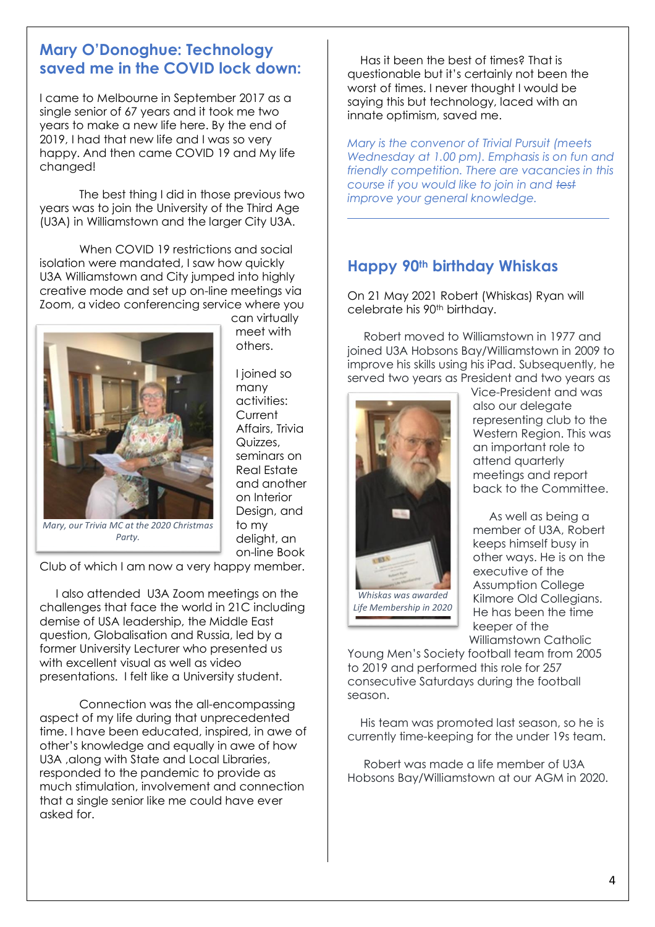## **Mary O'Donoghue: Technology saved me in the COVID lock down:**

I came to Melbourne in September 2017 as a single senior of 67 years and it took me two years to make a new life here. By the end of 2019, I had that new life and I was so very happy. And then came COVID 19 and My life changed!

The best thing I did in those previous two years was to join the University of the Third Age (U3A) in Williamstown and the larger City U3A.

When COVID 19 restrictions and social isolation were mandated, I saw how quickly U3A Williamstown and City jumped into highly creative mode and set up on-line meetings via Zoom, a video conferencing service where you



can virtually meet with others.

I joined so many activities: **Current** Affairs, Trivia Quizzes, seminars on Real Estate and another on Interior Design, and to my delight, an on-line Book

*Mary, our Trivia MC at the 2020 Christmas Party.*

Club of which I am now a very happy member.

 I also attended U3A Zoom meetings on the challenges that face the world in 21C including demise of USA leadership, the Middle East question, Globalisation and Russia, led by a former University Lecturer who presented us with excellent visual as well as video presentations. I felt like a University student.

Connection was the all-encompassing aspect of my life during that unprecedented time. I have been educated, inspired, in awe of other's knowledge and equally in awe of how U3A ,along with State and Local Libraries, responded to the pandemic to provide as much stimulation, involvement and connection that a single senior like me could have ever asked for.

 Has it been the best of times? That is questionable but it's certainly not been the worst of times. I never thought I would be saying this but technology, laced with an innate optimism, saved me.

*Mary is the convenor of Trivial Pursuit (meets Wednesday at 1.00 pm). Emphasis is on fun and friendly competition. There are vacancies in this course if you would like to join in and test improve your general knowledge.* 

# **Happy 90th birthday Whiskas**

On 21 May 2021 Robert (Whiskas) Ryan will celebrate his 90th birthday.

 Robert moved to Williamstown in 1977 and joined U3A Hobsons Bay/Williamstown in 2009 to improve his skills using his iPad. Subsequently, he served two years as President and two years as



Vice-President and was also our delegate representing club to the Western Region. This was an important role to attend quarterly meetings and report back to the Committee.

 As well as being a member of U3A, Robert keeps himself busy in other ways. He is on the executive of the Assumption College Kilmore Old Collegians. He has been the time keeper of the Williamstown Catholic

Young Men's Society football team from 2005 to 2019 and performed this role for 257 consecutive Saturdays during the football season.

 His team was promoted last season, so he is currently time-keeping for the under 19s team.

 Robert was made a life member of U3A Hobsons Bay/Williamstown at our AGM in 2020.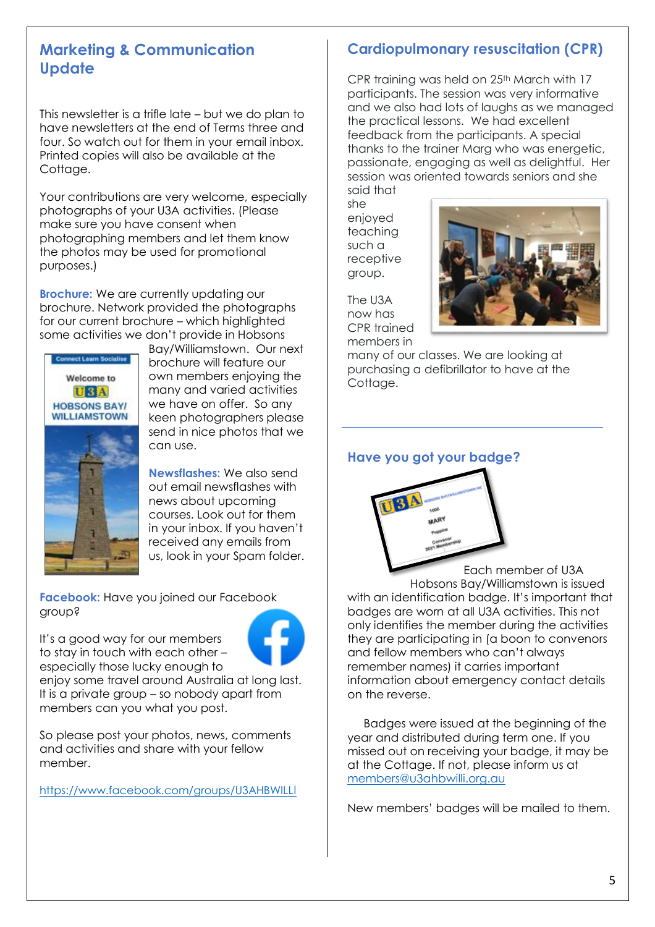## **Marketing & Communication Update**

This newsletter is a trifle late – but we do plan to have newsletters at the end of Terms three and four. So watch out for them in your email inbox. Printed copies will also be available at the Cottage.

Your contributions are very welcome, especially photographs of your U3A activities. (Please make sure you have consent when photographing members and let them know the photos may be used for promotional purposes.)

**Brochure:** We are currently updating our brochure. Network provided the photographs for our current brochure – which highlighted some activities we don't provide in Hobsons



Bay/Williamstown. Our next brochure will feature our own members enjoying the many and varied activities we have on offer. So any keen photographers please send in nice photos that we can use.

**Newsflashes:** We also send out email newsflashes with news about upcoming courses. Look out for them in your inbox. If you haven't received any emails from us, look in your Spam folder.

**Facebook:** Have you joined our Facebook group?

It's a good way for our members to stay in touch with each other – especially those lucky enough to

enjoy some travel around Australia at long last.

It is a private group – so nobody apart from members can you what you post.

So please post your photos, news, comments and activities and share with your fellow member.

[https://www.facebook.com/groups/U3AHBWILL](mailto:https://www.facebook.com/groups/U3AHBWILLI)[I](mailto:https://www.facebook.com/groups/U3AHBWILLI)

## **Cardiopulmonary resuscitation (CPR)**

CPR training was held on 25th March with 17 participants. The session was very informative and we also had lots of laughs as we managed the practical lessons. We had excellent feedback from the participants. A special thanks to the trainer Marg who was energetic, passionate, engaging as well as delightful. Her session was oriented towards seniors and she said that

she enjoyed teaching such a receptive group.

The U3A now has CPR trained members in

 $\overline{a}$ 



many of our classes. We are looking at purchasing a defibrillator to have at the Cottage.

### **Have you got your badge?**



 Each member of U3A Hobsons Bay/Williamstown is issued with an identification badge. It's important that badges are worn at all U3A activities. This not only identifies the member during the activities they are participating in (a boon to convenors and fellow members who can't always remember names) it carries important information about emergency contact details on the reverse.

 Badges were issued at the beginning of the year and distributed during term one. If you missed out on receiving your badge, it may be at the Cottage. If not, please inform us at [members@u3ahbwilli.org.au](mailto:https://www.facebook.com/groups/U3AHBWILLI)

New members' badges will be mailed to them.